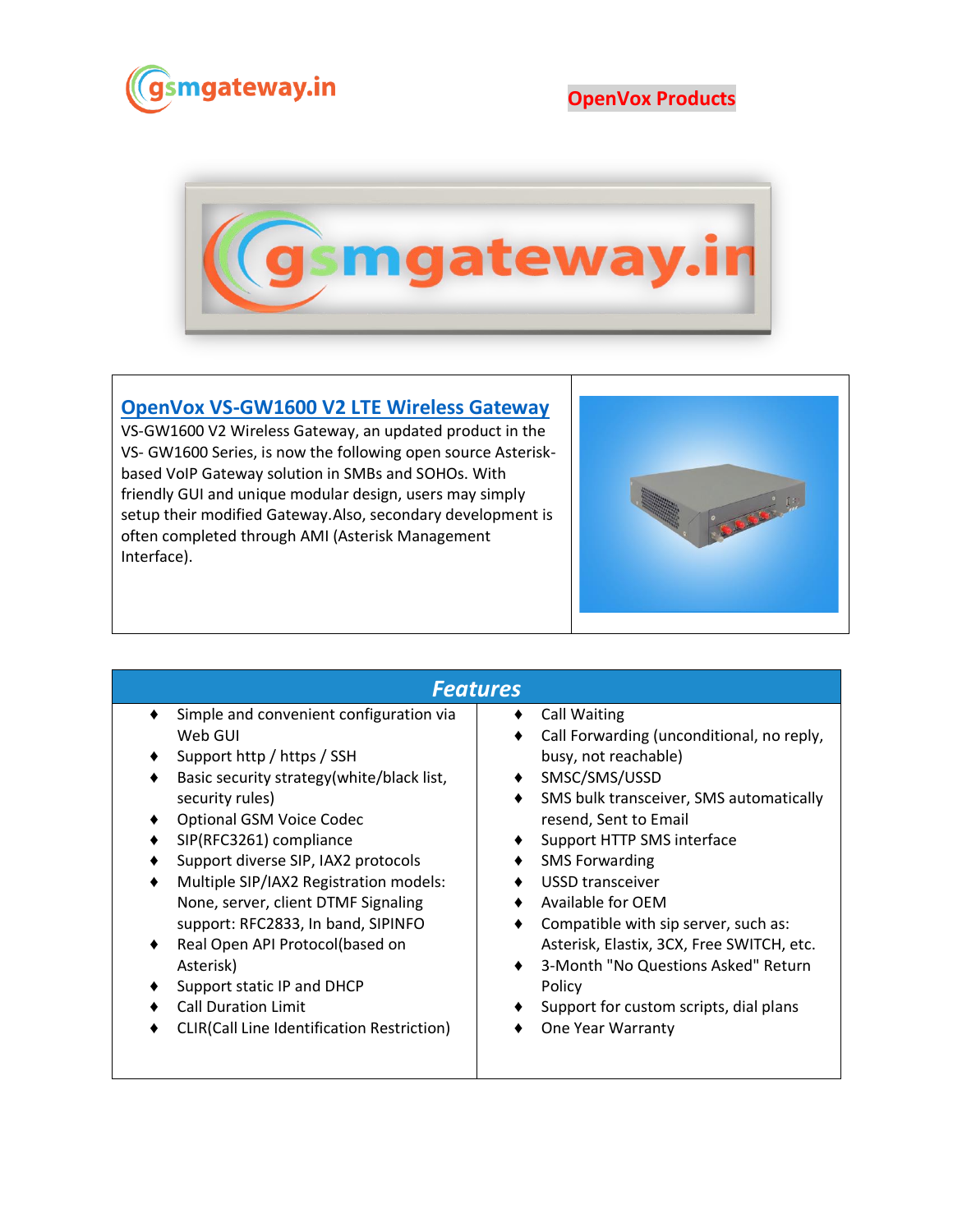

**OpenVox Products**



## **[OpenVox VS-GW1600 V2 LTE Wireless Gateway](https://www.gsmgateway.in/openvox/VS-GW1600-V2-LTE-Wireless-Gateway.html)**

VS-GW1600 V2 Wireless Gateway, an updated product in the VS- GW1600 Series, is now the following open source Asteriskbased VoIP Gateway solution in SMBs and SOHOs. With friendly GUI and unique modular design, users may simply setup their modified Gateway.Also, secondary development is often completed through AMI (Asterisk Management Interface).



## *Features*

- ♦ Simple and convenient configuration via Web GUI
- Support http / https / SSH
- ♦ Basic security strategy(white/black list, security rules)
- ♦ Optional GSM Voice Codec
- ♦ SIP(RFC3261) compliance
- Support diverse SIP, IAX2 protocols
- Multiple SIP/IAX2 Registration models: None, server, client DTMF Signaling support: RFC2833, In band, SIPINFO
- ♦ Real Open API Protocol(based on Asterisk)
- ♦ Support static IP and DHCP
- ♦ Call Duration Limit
- ♦ CLIR(Call Line Identification Restriction)

## ♦ Call Waiting

- ♦ Call Forwarding (unconditional, no reply, busy, not reachable)
- ♦ SMSC/SMS/USSD
- ♦ SMS bulk transceiver, SMS automatically resend, Sent to Email
- ♦ Support HTTP SMS interface
- ♦ SMS Forwarding
- ♦ USSD transceiver
- ♦ Available for OEM
- ♦ Compatible with sip server, such as: Asterisk, Elastix, 3CX, Free SWITCH, etc.
- ♦ 3-Month "No Questions Asked" Return Policy
- ♦ Support for custom scripts, dial plans
- ♦ One Year Warranty